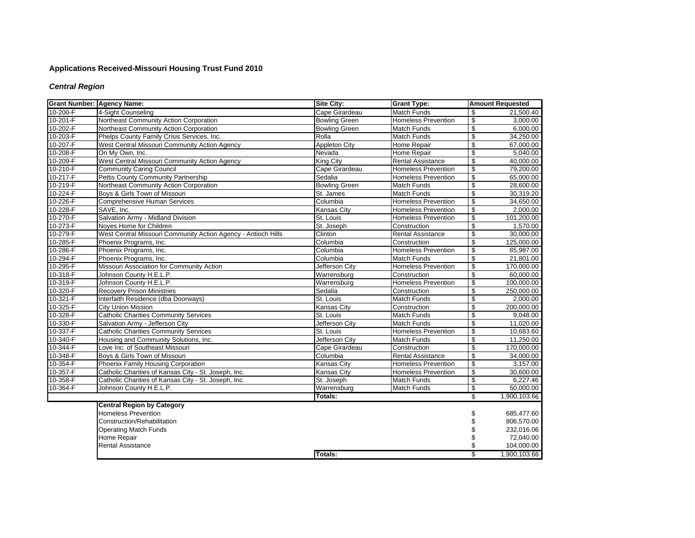# **Applications Received-Missouri Housing Trust Fund 2010**

# *Central Region*

| <b>Grant Number: Agency Name:</b> |                                                               | <b>Site City:</b>     | <b>Grant Type:</b>         |                          | <b>Amount Requested</b> |
|-----------------------------------|---------------------------------------------------------------|-----------------------|----------------------------|--------------------------|-------------------------|
| 10-200-F                          | 4-Sight Counseling                                            | Cape Girardeau        | <b>Match Funds</b>         | \$                       | 21,500.40               |
| $10-201-F$                        | Northeast Community Action Corporation                        | <b>Bowling Green</b>  | <b>Homeless Prevention</b> | $\overline{\mathbf{e}}$  | 3,000.00                |
| 10-202-F                          | Northeast Community Action Corporation                        | <b>Bowling Green</b>  | <b>Match Funds</b>         | $\sqrt[6]{\frac{1}{2}}$  | 6,000.00                |
| 10-203-F                          | Phelps County Family Crisis Services, Inc.                    | Rolla                 | Match Funds                | $\overline{\mathcal{S}}$ | 34,250.00               |
| 10-207-F                          | West Central Missouri Community Action Agency                 | <b>Appleton City</b>  | Home Repair                | $\overline{\mathcal{S}}$ | 67,000.00               |
| 10-208-F                          | On My Own, Inc.                                               | Nevada                | Home Repair                | $\overline{\mathcal{E}}$ | 5,040.00                |
| 10-209-F                          | West Central Missouri Community Action Agency                 | King City             | Rental Assistance          | \$                       | 40,000.00               |
| 10-210-F                          | <b>Community Caring Council</b>                               | Cape Girardeau        | <b>Homeless Prevention</b> | $\overline{\mathcal{E}}$ | 79.200.00               |
| $10-217-F$                        | Pettis County Community Partnership                           | Sedalia               | <b>Homeless Prevention</b> | \$                       | 65,000.00               |
| 10-219-F                          | Northeast Community Action Corporation                        | <b>Bowling Green</b>  | Match Funds                | $\overline{\$}$          | 28,600.00               |
| 10-224-F                          | Bovs & Girls Town of Missouri                                 | St. James             | <b>Match Funds</b>         | $\overline{\mathcal{S}}$ | 30,319.20               |
| 10-226-F                          | <b>Comprehensive Human Services</b>                           | Columbia              | <b>Homeless Prevention</b> | $\overline{\mathcal{E}}$ | 34,650.00               |
| 10-228-F                          | SAVE, Inc.                                                    | <b>Kansas City</b>    | <b>Homeless Prevention</b> | $\boldsymbol{\theta}$    | 2,000.00                |
| 10-270-F                          | Salvation Army - Midland Division                             | St. Louis             | <b>Homeless Prevention</b> | $\overline{\mathcal{E}}$ | 101,200.00              |
| 10-273-F                          | Noves Home for Children                                       | St. Joseph            | Construction               | $\overline{\mathcal{S}}$ | 1,570.00                |
| 10-279-F                          | West Central Missouri Community Action Agency - Antioch Hills | Clinton               | <b>Rental Assistance</b>   | \$                       | 30,000.00               |
| 10-285-F                          | Phoenix Programs, Inc.                                        | Columbia              | Construction               | $\overline{\$}$          | 125,000.00              |
| 10-286-F                          | Phoenix Programs, Inc.                                        | Columbia              | <b>Homeless Prevention</b> | $\overline{\mathcal{S}}$ | 85,987.00               |
| 10-294-F                          | Phoenix Programs, Inc.                                        | Columbia              | <b>Match Funds</b>         | \$                       | 21,801.00               |
| 10-295-F                          | Missouri Association for Community Action                     | Jefferson City        | <b>Homeless Prevention</b> | $\overline{\mathcal{E}}$ | 170,000.00              |
| $10 - 318 - F$                    | Johnson County H.E.L.P.                                       | Warrensburg           | Construction               | $\overline{\mathbf{S}}$  | 60,000.00               |
| 10-319-F                          | Johnson County H.E.L.P.                                       | Warrensburg           | <b>Homeless Prevention</b> | $\sqrt[6]{\frac{1}{2}}$  | 100,000.00              |
| 10-320-F                          | <b>Recovery Prison Ministries</b>                             | Sedalia               | Construction               | $\overline{\mathcal{E}}$ | 250,000.00              |
| 10-321-F                          | Interfaith Residence (dba Doorways)                           | St. Louis             | <b>Match Funds</b>         | \$                       | 2,000.00                |
| 10-325-F                          | <b>City Union Mission</b>                                     | <b>Kansas City</b>    | Construction               | \$                       | 200,000.00              |
| 10-328-F                          | <b>Catholic Charities Community Services</b>                  | St. Louis             | Match Funds                | $\overline{\mathbf{e}}$  | 9,048.00                |
| 10-330-F                          | Salvation Army - Jefferson City                               | <b>Jefferson City</b> | <b>Match Funds</b>         | $\overline{\mathcal{S}}$ | 11,020.00               |
| 10-337-F                          | <b>Catholic Charities Community Services</b>                  | St. Louis             | <b>Homeless Prevention</b> | $\overline{\mathbf{e}}$  | 10,683.60               |
| 10-340-F                          | Housing and Community Solutions, Inc.                         | Jefferson City        | Match Funds                | $\overline{\mathbf{e}}$  | 11,250.00               |
| 10-344-F                          | Love Inc. of Southeast Missouri                               | Cape Girardeau        | Construction               | $\overline{\mathcal{S}}$ | 170.000.00              |
| 10-348-F                          | Boys & Girls Town of Missouri                                 | Columbia              | <b>Rental Assistance</b>   | $\overline{\mathcal{S}}$ | 34,000.00               |
| 10-354-F                          | Phoenix Family Housing Corporation                            | <b>Kansas City</b>    | <b>Homeless Prevention</b> | \$                       | 3,157.00                |
| 10-357-F                          | Catholic Charities of Kansas City - St. Joseph, Inc.          | <b>Kansas City</b>    | <b>Homeless Prevention</b> | $\overline{\mathcal{E}}$ | 30,600.00               |
| 10-358-F                          | Catholic Charities of Kansas City - St. Joseph, Inc.          | St. Joseph            | <b>Match Funds</b>         | $\overline{\mathcal{S}}$ | 6,227.46                |
| 10-364-F                          | Johnson County H.E.L.P.                                       | Warrensburg           | Match Funds                | \$                       | 50,000.00               |
|                                   |                                                               | Totals:               |                            | $\overline{\mathbb{S}}$  | 1,900,103.66            |
|                                   | <b>Central Region by Category</b>                             |                       |                            |                          |                         |
|                                   | <b>Homeless Prevention</b>                                    |                       |                            | \$                       | 685,477.60              |
|                                   | Construction/Rehabilitation                                   |                       |                            | \$                       | 806,570.00              |
|                                   | <b>Operating Match Funds</b>                                  |                       |                            | \$                       | 232,016.06              |
|                                   | Home Repair                                                   |                       |                            | \$                       | 72,040.00               |
|                                   | <b>Rental Assistance</b>                                      |                       |                            | \$                       | 104,000.00              |
|                                   |                                                               | Totals:               |                            | $\overline{\mathbb{S}}$  | 1,900,103.66            |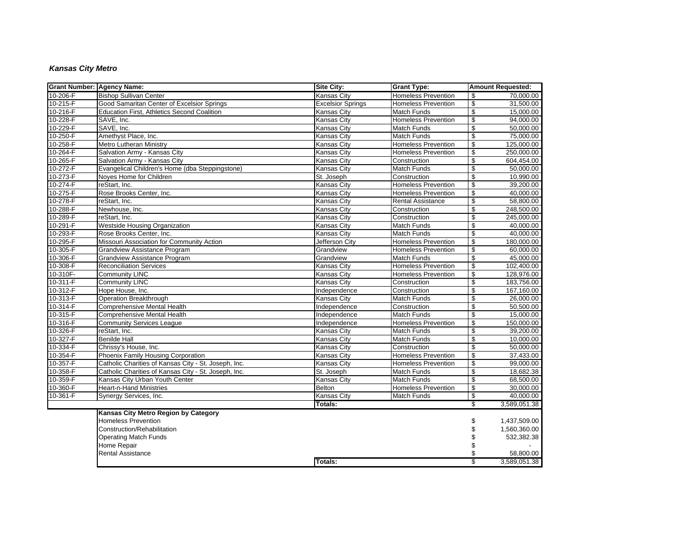## *Kansas City Metro*

| <b>Grant Number: Agency Name:</b> |                                                      | <b>Site City:</b>        | <b>Grant Type:</b>         |                          | <b>Amount Requested:</b> |
|-----------------------------------|------------------------------------------------------|--------------------------|----------------------------|--------------------------|--------------------------|
| 10-206-F                          | <b>Bishop Sullivan Center</b>                        | <b>Kansas City</b>       | <b>Homeless Prevention</b> | \$                       | 70.000.00                |
| 10-215-F                          | Good Samaritan Center of Excelsior Springs           | <b>Excelsior Springs</b> | <b>Homeless Prevention</b> | $\overline{\mathbf{e}}$  | 31,500.00                |
| 10-216-F                          | Education First, Athletics Second Coalition          | <b>Kansas City</b>       | <b>Match Funds</b>         | \$                       | 15,000.00                |
| 10-228-F                          | SAVE, Inc.                                           | <b>Kansas City</b>       | <b>Homeless Prevention</b> | \$                       | 94,000.00                |
| 10-229-F                          | SAVE, Inc.                                           | <b>Kansas City</b>       | <b>Match Funds</b>         | $\overline{\mathcal{S}}$ | 50,000.00                |
| 10-250-F                          | Amethyst Place, Inc.                                 | <b>Kansas City</b>       | Match Funds                | $\overline{\$}$          | 75,000.00                |
| 10-258-F                          | <b>Metro Lutheran Ministry</b>                       | <b>Kansas City</b>       | <b>Homeless Prevention</b> | \$                       | 125,000.00               |
| 10-264-F                          | Salvation Army - Kansas City                         | Kansas Citv              | <b>Homeless Prevention</b> | $\overline{\mathbf{e}}$  | 250.000.00               |
| 10-265-F                          | Salvation Army - Kansas City                         | <b>Kansas City</b>       | Construction               | $\overline{\mathbf{e}}$  | 604,454.00               |
| 10-272-F                          | Evangelical Children's Home (dba Steppingstone)      | <b>Kansas City</b>       | Match Funds                | $\overline{\mathcal{E}}$ | 50,000.00                |
| $10 - 273 - F$                    | Noves Home for Children                              | St. Joseph               | Construction               | \$                       | 10,990.00                |
| 10-274-F                          | reStart, Inc.                                        | <b>Kansas City</b>       | <b>Homeless Prevention</b> | $\overline{\mathbf{e}}$  | 39,200.00                |
| 10-275-F                          | Rose Brooks Center, Inc.                             | <b>Kansas City</b>       | <b>Homeless Prevention</b> | \$                       | 40,000.00                |
| $10-278-F$                        | reStart, Inc.                                        | Kansas City              | <b>Rental Assistance</b>   | \$                       | 58,800.00                |
| 10-288-F                          | Newhouse, Inc.                                       | <b>Kansas City</b>       | Construction               | $\overline{\mathcal{S}}$ | 248.500.00               |
| 10-289-F                          | reStart. Inc.                                        | Kansas City              | Construction               | \$                       | 245,000.00               |
| 10-291-F                          | <b>Westside Housing Organization</b>                 | <b>Kansas City</b>       | Match Funds                | \$                       | 40,000.00                |
| 10-293-F                          | Rose Brooks Center, Inc.                             | <b>Kansas City</b>       | Match Funds                | $\overline{\mathcal{E}}$ | 40,000.00                |
| 10-295-F                          | Missouri Association for Community Action            | Jefferson City           | <b>Homeless Prevention</b> | \$                       | 180,000.00               |
| 10-305-F                          | Grandview Assistance Program                         | Grandview                | <b>Homeless Prevention</b> | $\overline{\mathcal{S}}$ | 60,000.00                |
| 10-306-F                          | <b>Grandview Assistance Program</b>                  | Grandview                | <b>Match Funds</b>         | $\overline{\mathbf{e}}$  | 45,000.00                |
| 10-308-F                          | <b>Reconciliation Services</b>                       | <b>Kansas City</b>       | <b>Homeless Prevention</b> | \$                       | 102,400.00               |
| 10-310F-                          | <b>Community LINC</b>                                | <b>Kansas City</b>       | <b>Homeless Prevention</b> | \$                       | 128,976.00               |
| 10-311-F                          | <b>Community LINC</b>                                | <b>Kansas City</b>       | Construction               | $\overline{\mathcal{E}}$ | 183,756.00               |
| $10-312-F$                        | Hope House, Inc.                                     | Independence             | Construction               | \$                       | 167,160.00               |
| 10-313-F                          | Operation Breakthrough                               | <b>Kansas City</b>       | Match Funds                | $\overline{\mathbf{e}}$  | 26,000.00                |
| 10-314-F                          | <b>Comprehensive Mental Health</b>                   | Independence             | Construction               | \$                       | 50,500.00                |
| 10-315-F                          | Comprehensive Mental Health                          | Independence             | Match Funds                | \$                       | 15,000.00                |
| 10-316-F                          | <b>Community Services League</b>                     | Independence             | <b>Homeless Prevention</b> | $\overline{\mathcal{S}}$ | 150.000.00               |
| 10-326-F                          | reStart, Inc.                                        | Kansas City              | <b>Match Funds</b>         | \$                       | 39,200.00                |
| 10-327-F                          | <b>Benilde Hall</b>                                  | <b>Kansas City</b>       | Match Funds                | $\overline{\mathbf{e}}$  | 10,000.00                |
| 10-334-F                          | Chrissy's House, Inc.                                | <b>Kansas City</b>       | Construction               | \$                       | 50,000.00                |
| 10-354-F                          | Phoenix Family Housing Corporation                   | <b>Kansas City</b>       | <b>Homeless Prevention</b> | \$                       | 37,433.00                |
| 10-357-F                          | Catholic Charities of Kansas City - St. Joseph, Inc. | Kansas City              | <b>Homeless Prevention</b> | $\overline{\mathcal{S}}$ | 99,000.00                |
| 10-358-F                          | Catholic Charities of Kansas City - St. Joseph, Inc. | St. Joseph               | <b>Match Funds</b>         | \$                       | 18,682.38                |
| 10-359-F                          | Kansas City Urban Youth Center                       | <b>Kansas City</b>       | <b>Match Funds</b>         | $\overline{\mathcal{S}}$ | 68,500.00                |
| 10-360-F                          | <b>Heart-n-Hand Ministries</b>                       | <b>Belton</b>            | <b>Homeless Prevention</b> | $\overline{\mathbf{e}}$  | 30.000.00                |
| 10-361-F                          | Synergy Services, Inc.                               | <b>Kansas City</b>       | Match Funds                | \$                       | 40,000.00                |
|                                   |                                                      | Totals:                  |                            | \$                       | 3,589,051.38             |
|                                   | Kansas City Metro Region by Category                 |                          |                            |                          |                          |
|                                   | <b>Homeless Prevention</b>                           |                          |                            | \$                       | 1,437,509.00             |
|                                   | Construction/Rehabilitation                          |                          |                            | \$                       | 1,560,360.00             |
|                                   | <b>Operating Match Funds</b>                         |                          |                            | \$                       | 532,382.38               |
|                                   | Home Repair                                          |                          |                            | \$                       |                          |
|                                   | Rental Assistance                                    |                          |                            | \$                       | 58,800.00                |
|                                   |                                                      | Totals:                  |                            | \$                       | 3,589,051.38             |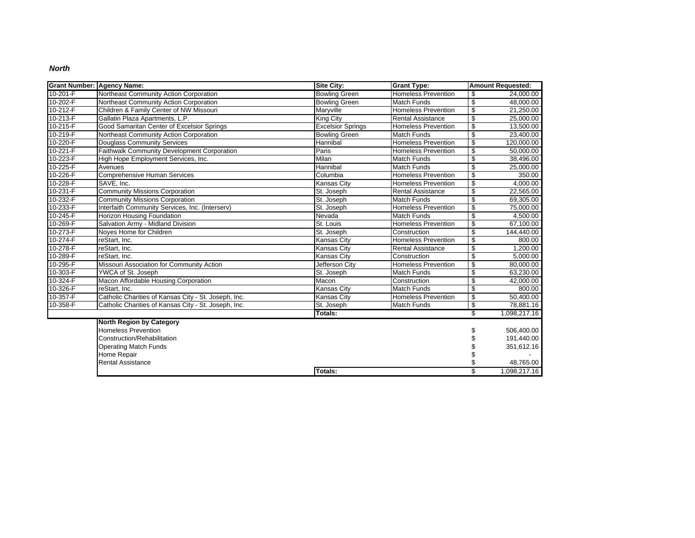#### *North*

| Grant Number: Agency Name: |                                                      | <b>Site City:</b>        | <b>Grant Type:</b>         | <b>Amount Requested:</b> |              |
|----------------------------|------------------------------------------------------|--------------------------|----------------------------|--------------------------|--------------|
| $10 - 201 - F$             | Northeast Community Action Corporation               | <b>Bowling Green</b>     | <b>Homeless Prevention</b> | $\mathsf{s}$             | 24,000.00    |
| 10-202-F                   | Northeast Community Action Corporation               | <b>Bowling Green</b>     | Match Funds                | $\overline{\mathcal{S}}$ | 48,000.00    |
| 10-212-F                   | Children & Family Center of NW Missouri              | Maryville                | <b>Homeless Prevention</b> | \$                       | 21,250.00    |
| $10 - 213 - F$             | Gallatin Plaza Apartments, L.P.                      | King City                | <b>Rental Assistance</b>   | $\overline{\mathcal{S}}$ | 25,000.00    |
| 10-215-F                   | Good Samaritan Center of Excelsior Springs           | <b>Excelsior Springs</b> | <b>Homeless Prevention</b> | \$                       | 13,500.00    |
| 10-219-F                   | Northeast Community Action Corporation               | <b>Bowling Green</b>     | <b>Match Funds</b>         | $\overline{\mathcal{S}}$ | 23,400.00    |
| 10-220-F                   | <b>Douglass Community Services</b>                   | Hannibal                 | <b>Homeless Prevention</b> | \$                       | 120,000.00   |
| $10 - 221 - F$             | Faithwalk Community Development Corporation          | Paris                    | <b>Homeless Prevention</b> | $\overline{\mathbf{e}}$  | 50,000.00    |
| 10-223-F                   | High Hope Employment Services, Inc.                  | Milan                    | <b>Match Funds</b>         | $\overline{\mathbf{e}}$  | 38,496.00    |
| 10-225-F                   | Avenues                                              | Hannibal                 | <b>Match Funds</b>         | $\overline{\mathbf{S}}$  | 25,000.00    |
| 10-226-F                   | <b>Comprehensive Human Services</b>                  | Columbia                 | <b>Homeless Prevention</b> | $\overline{\mathbf{e}}$  | 350.00       |
| 10-228-F                   | SAVE, Inc.                                           | Kansas City              | <b>Homeless Prevention</b> | $\overline{\mathbf{e}}$  | 4,000.00     |
| 10-231-F                   | <b>Community Missions Corporation</b>                | St. Joseph               | <b>Rental Assistance</b>   | $\sqrt[6]{\frac{1}{2}}$  | 22,565.00    |
| 10-232-F                   | <b>Community Missions Corporation</b>                | St. Joseph               | Match Funds                | $\overline{\mathbf{e}}$  | 69,305.00    |
| 10-233-F                   | Interfaith Community Services, Inc. (Interserv)      | St. Joseph               | <b>Homeless Prevention</b> | \$                       | 75,000.00    |
| 10-245-F                   | Horizon Housing Foundation                           | Nevada                   | <b>Match Funds</b>         | $\overline{\mathbf{e}}$  | 4,500.00     |
| 10-269-F                   | Salvation Army - Midland Division                    | St. Louis                | <b>Homeless Prevention</b> | \$                       | 67,100.00    |
| 10-273-F                   | Noves Home for Children                              | St. Joseph               | Construction               | \$                       | 144,440.00   |
| 10-274-F                   | reStart. Inc.                                        | <b>Kansas City</b>       | <b>Homeless Prevention</b> | $\overline{\mathcal{S}}$ | 800.00       |
| 10-278-F                   | reStart, Inc.                                        | <b>Kansas City</b>       | <b>Rental Assistance</b>   | $\overline{\mathcal{S}}$ | 1,200.00     |
| 10-289-F                   | reStart, Inc.                                        | <b>Kansas City</b>       | Construction               | \$                       | 5,000.00     |
| 10-295-F                   | Missouri Association for Community Action            | Jefferson City           | <b>Homeless Prevention</b> | $\overline{\mathcal{S}}$ | 80,000.00    |
| 10-303-F                   | YWCA of St. Joseph                                   | St. Joseph               | <b>Match Funds</b>         | \$                       | 63,230.00    |
| 10-324-F                   | Macon Affordable Housing Corporation                 | Macon                    | Construction               | \$                       | 42,000.00    |
| 10-326-F                   | reStart. Inc.                                        | Kansas City              | <b>Match Funds</b>         | $\overline{\mathcal{S}}$ | 800.00       |
| 10-357-F                   | Catholic Charities of Kansas City - St. Joseph, Inc. | <b>Kansas City</b>       | <b>Homeless Prevention</b> | $\overline{\mathcal{E}}$ | 50,400.00    |
| 10-358-F                   | Catholic Charities of Kansas City - St. Joseph, Inc. | St. Joseph               | <b>Match Funds</b>         | \$                       | 78.881.16    |
|                            |                                                      | Totals:                  |                            | \$                       | 1,098,217.16 |
|                            | <b>North Region by Category</b>                      |                          |                            |                          |              |
|                            | Homeless Prevention                                  |                          |                            | \$                       | 506,400.00   |
|                            | Construction/Rehabilitation                          |                          |                            | \$                       | 191,440.00   |
|                            | <b>Operating Match Funds</b>                         |                          |                            | \$                       | 351,612.16   |
|                            | Home Repair                                          |                          |                            | \$                       |              |
|                            | <b>Rental Assistance</b>                             |                          |                            | \$                       | 48,765.00    |
|                            |                                                      | Totals:                  |                            | \$                       | 1,098,217.16 |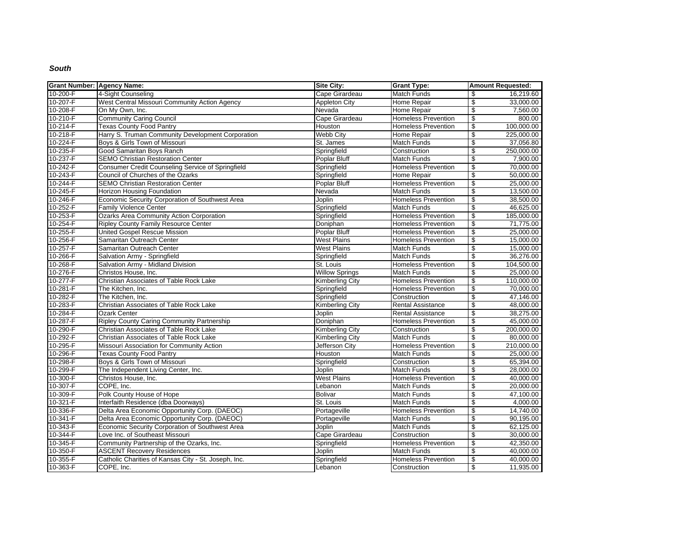#### *South*

| <b>Grant Number: Agency Name:</b> |                                                      | Site City:             | <b>Grant Type:</b>         | <b>Amount Requested:</b>               |
|-----------------------------------|------------------------------------------------------|------------------------|----------------------------|----------------------------------------|
| 10-200-F                          | 4-Sight Counseling                                   | Cape Girardeau         | <b>Match Funds</b>         | 16,219.60<br>\$                        |
| 10-207-F                          | West Central Missouri Community Action Agency        | <b>Appleton City</b>   | <b>Home Repair</b>         | 33,000.00<br>\$                        |
| 10-208-F                          | On My Own, Inc.                                      | Nevada                 | Home Repair                | \$<br>7,560.00                         |
| 10-210-F                          | <b>Community Caring Council</b>                      | Cape Girardeau         | <b>Homeless Prevention</b> | \$<br>800.00                           |
| $10 - 214 - F$                    | <b>Texas County Food Pantry</b>                      | Houston                | <b>Homeless Prevention</b> | \$<br>100,000.00                       |
| 10-218-F                          | Harry S. Truman Community Development Corporation    | <b>Webb City</b>       | Home Repair                | $\overline{\mathbf{e}}$<br>225,000.00  |
| 10-224-F                          | Boys & Girls Town of Missouri                        | St. James              | Match Funds                | \$<br>37,056.80                        |
| 10-235-F                          | Good Samaritan Boys Ranch                            | Springfield            | Construction               | $\overline{\mathcal{S}}$<br>250.000.00 |
| 10-237-F                          | <b>SEMO Christian Restoration Center</b>             | Poplar Bluff           | Match Funds                | \$<br>7,900.00                         |
| 10-242-F                          | Consumer Credit Counseling Service of Springfield    | Springfield            | <b>Homeless Prevention</b> | \$<br>70,000.00                        |
| 10-243-F                          | Council of Churches of the Ozarks                    | Springfield            | Home Repair                | $\overline{\mathbf{e}}$<br>50,000.00   |
| 10-244-F                          | <b>SEMO Christian Restoration Center</b>             | Poplar Bluff           | <b>Homeless Prevention</b> | $\overline{\mathbf{e}}$<br>25,000.00   |
| 10-245-F                          | <b>Horizon Housing Foundation</b>                    | Nevada                 | <b>Match Funds</b>         | $\overline{\mathbf{e}}$<br>13,500.00   |
| 10-246-F                          | Economic Security Corporation of Southwest Area      | Joplin                 | <b>Homeless Prevention</b> | \$<br>38,500.00                        |
| 10-252-F                          | <b>Family Violence Center</b>                        | Springfield            | <b>Match Funds</b>         | $\overline{\mathbf{e}}$<br>46,625.00   |
| 10-253-F                          | Ozarks Area Community Action Corporation             | Springfield            | <b>Homeless Prevention</b> | \$<br>185,000.00                       |
| 10-254-F                          | <b>Ripley County Family Resource Center</b>          | Doniphan               | <b>Homeless Prevention</b> | $\overline{\mathcal{S}}$<br>71,775.00  |
| 10-255-F                          | <b>United Gospel Rescue Mission</b>                  | Poplar Bluff           | <b>Homeless Prevention</b> | \$<br>25,000.00                        |
| 10-256-F                          | Samaritan Outreach Center                            | <b>West Plains</b>     | <b>Homeless Prevention</b> | \$<br>15,000.00                        |
| $10 - 257 - F$                    | Samaritan Outreach Center                            | <b>West Plains</b>     | Match Funds                | $\overline{\mathbf{e}}$<br>15,000.00   |
| 10-266-F                          | Salvation Army - Springfield                         | Springfield            | <b>Match Funds</b>         | \$<br>36.276.00                        |
| 10-268-F                          | Salvation Army - Midland Division                    | St. Louis              | <b>Homeless Prevention</b> | $\overline{\mathbf{e}}$<br>104,500.00  |
| 10-276-F                          | Christos House, Inc.                                 | <b>Willow Springs</b>  | Match Funds                | \$<br>25,000.00                        |
| 10-277-F                          | Christian Associates of Table Rock Lake              | <b>Kimberling City</b> | <b>Homeless Prevention</b> | \$<br>110,000.00                       |
| 10-281-F                          | The Kitchen, Inc.                                    | Springfield            | Homeless Prevention        | 70,000.00<br>\$                        |
| 10-282-F                          | The Kitchen, Inc.                                    | Springfield            | Construction               | $\overline{\$}$<br>47,146.00           |
| 10-283-F                          | Christian Associates of Table Rock Lake              | <b>Kimberling City</b> | <b>Rental Assistance</b>   | \$<br>48,000.00                        |
| 10-284-F                          | <b>Ozark Center</b>                                  | Joplin                 | <b>Rental Assistance</b>   | \$<br>38,275.00                        |
| 10-287-F                          | <b>Ripley County Caring Community Partnership</b>    | Doniphan               | <b>Homeless Prevention</b> | \$<br>45,000.00                        |
| 10-290-F                          | Christian Associates of Table Rock Lake              | <b>Kimberling City</b> | Construction               | \$<br>200,000.00                       |
| 10-292-F                          | Christian Associates of Table Rock Lake              | Kimberling City        | <b>Match Funds</b>         | $\overline{\mathbf{e}}$<br>80,000.00   |
| 10-295-F                          | Missouri Association for Community Action            | Jefferson City         | <b>Homeless Prevention</b> | \$<br>210,000.00                       |
| 10-296-F                          | <b>Texas County Food Pantry</b>                      | Houston                | Match Funds                | \$<br>25,000.00                        |
| 10-298-F                          | Boys & Girls Town of Missouri                        | Springfield            | Construction               | 65,394.00<br>\$                        |
| 10-299-F                          | The Independent Living Center, Inc.                  | <b>Joplin</b>          | <b>Match Funds</b>         | \$<br>28,000.00                        |
| 10-300-F                          | Christos House, Inc.                                 | <b>West Plains</b>     | <b>Homeless Prevention</b> | \$<br>40,000.00                        |
| 10-307-F                          | COPE, Inc.                                           | Lebanon                | Match Funds                | \$<br>20,000.00                        |
| 10-309-F                          | Polk County House of Hope                            | <b>Bolivar</b>         | Match Funds                | \$<br>47,100.00                        |
| 10-321-F                          | Interfaith Residence (dba Doorways)                  | St. Louis              | <b>Match Funds</b>         | $\overline{\mathcal{S}}$<br>4.000.00   |
| 10-336-F                          | Delta Area Economic Opportunity Corp. (DAEOC)        | Portageville           | <b>Homeless Prevention</b> | $\overline{\mathbf{e}}$<br>14,740.00   |
| $10 - 341 - F$                    | Delta Area Economic Opportunity Corp. (DAEOC)        | Portageville           | Match Funds                | \$<br>90,195.00                        |
| 10-343-F                          | Economic Security Corporation of Southwest Area      | Joplin                 | Match Funds                | \$<br>62,125.00                        |
| 10-344-F                          | Love Inc. of Southeast Missouri                      | Cape Girardeau         | Construction               | \$<br>30,000.00                        |
| 10-345-F                          | Community Partnership of the Ozarks, Inc.            | Springfield            | <b>Homeless Prevention</b> | \$<br>42,350.00                        |
| 10-350-F                          | <b>ASCENT Recovery Residences</b>                    | Joplin                 | Match Funds                | \$<br>40,000.00                        |
| 10-355-F                          | Catholic Charities of Kansas City - St. Joseph, Inc. | Springfield            | <b>Homeless Prevention</b> | \$<br>40,000.00                        |
| 10-363-F                          | COPE, Inc.                                           | Lebanon                | Construction               | \$<br>11,935.00                        |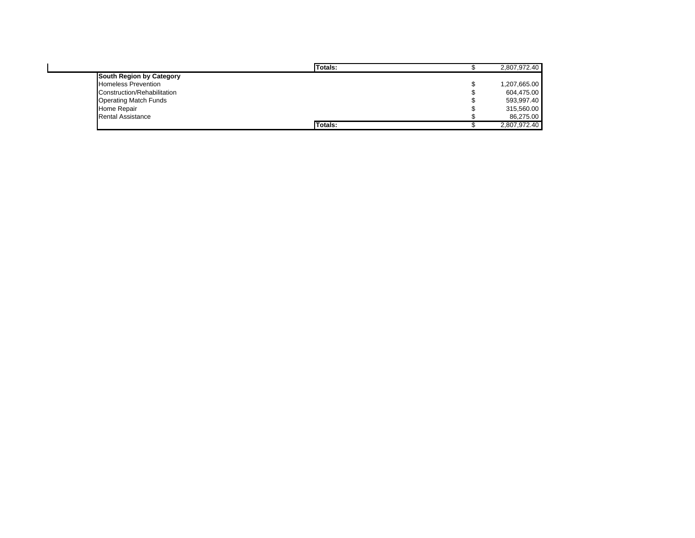|                              | Totals: | 2,807,972.40 |
|------------------------------|---------|--------------|
| South Region by Category     |         |              |
| <b>Homeless Prevention</b>   |         | 1,207,665.00 |
| Construction/Rehabilitation  |         | 604,475.00   |
| <b>Operating Match Funds</b> |         | 593,997.40   |
| Home Repair                  |         | 315,560.00   |
| <b>Rental Assistance</b>     |         | 86,275.00    |
|                              | Totals: | 2,807,972.40 |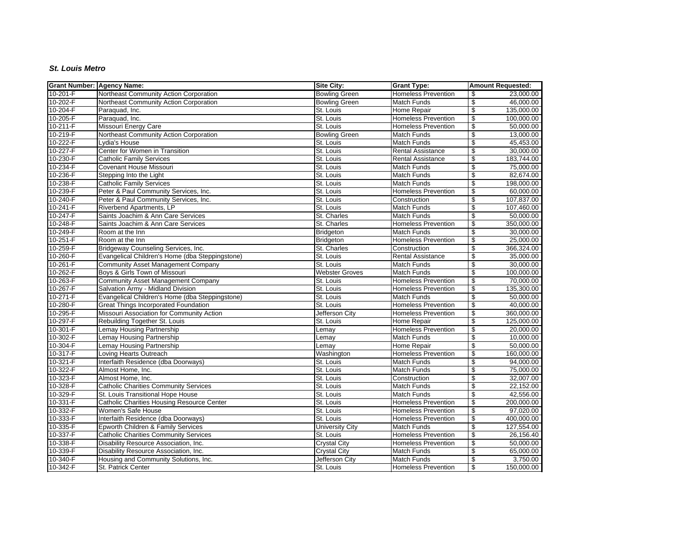### *St. Louis Metro*

| <b>Grant Number: Agency Name:</b> |                                                   | Site City:            | <b>Grant Type:</b>         | <b>Amount Requested:</b>               |
|-----------------------------------|---------------------------------------------------|-----------------------|----------------------------|----------------------------------------|
| 10-201-F                          | Northeast Community Action Corporation            | <b>Bowling Green</b>  | <b>Homeless Prevention</b> | 23,000.00<br>\$                        |
| 10-202-F                          | Northeast Community Action Corporation            | <b>Bowling Green</b>  | <b>Match Funds</b>         | \$<br>46,000.00                        |
| 10-204-F                          | Paraquad, Inc.                                    | St. Louis             | Home Repair                | \$<br>135,000.00                       |
| 10-205-F                          | Paraquad, Inc.                                    | St. Louis             | <b>Homeless Prevention</b> | \$<br>100,000.00                       |
| 10-211-F                          | Missouri Energy Care                              | St. Louis             | <b>Homeless Prevention</b> | \$<br>50,000.00                        |
| 10-219-F                          | Northeast Community Action Corporation            | <b>Bowling Green</b>  | Match Funds                | \$<br>13,000.00                        |
| 10-222-F                          | Lydia's House                                     | St. Louis             | Match Funds                | \$<br>45,453.00                        |
| 10-227-F                          | Center for Women in Transition                    | St. Louis             | <b>Rental Assistance</b>   | $\overline{\mathcal{S}}$<br>30,000.00  |
| 10-230-F                          | <b>Catholic Family Services</b>                   | St. Louis             | <b>Rental Assistance</b>   | \$<br>183,744.00                       |
| 10-234-F                          | Covenant House Missouri                           | St. Louis             | Match Funds                | \$<br>75,000.00                        |
| 10-236-F                          | Stepping Into the Light                           | St. Louis             | Match Funds                | \$<br>82,674.00                        |
| 10-238-F                          | <b>Catholic Family Services</b>                   | St. Louis             | Match Funds                | \$<br>198,000.00                       |
| 10-239-F                          | Peter & Paul Community Services, Inc.             | St. Louis             | <b>Homeless Prevention</b> | \$<br>60,000.00                        |
| 10-240-F                          | Peter & Paul Community Services, Inc.             | St. Louis             | Construction               | $\overline{\mathbf{e}}$<br>107,837.00  |
| 10-241-F                          | Riverbend Apartments, LP                          | St. Louis             | Match Funds                | \$<br>107,460.00                       |
| 10-247-F                          | Saints Joachim & Ann Care Services                | St. Charles           | Match Funds                | \$<br>50,000.00                        |
| 10-248-F                          | Saints Joachim & Ann Care Services                | St. Charles           | <b>Homeless Prevention</b> | $\overline{\mathbf{e}}$<br>350,000.00  |
| 10-249-F                          | Room at the Inn                                   | <b>Bridgeton</b>      | Match Funds                | \$<br>30,000.00                        |
| $10 - 251 - F$                    | Room at the Inn                                   | <b>Bridgeton</b>      | <b>Homeless Prevention</b> | $\overline{\mathbf{e}}$<br>25,000.00   |
| 10-259-F                          | Bridgeway Counseling Services, Inc.               | St. Charles           | Construction               | \$<br>366,324.00                       |
| 10-260-F                          | Evangelical Children's Home (dba Steppingstone)   | St. Louis             | <b>Rental Assistance</b>   | \$<br>35,000.00                        |
| 10-261-F                          | Community Asset Management Company                | St. Louis             | <b>Match Funds</b>         | $\overline{\mathcal{S}}$<br>30,000.00  |
| 10-262-F                          | Boys & Girls Town of Missouri                     | <b>Webster Groves</b> | <b>Match Funds</b>         | \$<br>100,000.00                       |
| 10-263-F                          | <b>Community Asset Management Company</b>         | St. Louis             | <b>Homeless Prevention</b> | \$<br>70,000.00                        |
| 10-267-F                          | Salvation Army - Midland Division                 | St. Louis             | <b>Homeless Prevention</b> | \$<br>135,300.00                       |
| 10-271-F                          | Evangelical Children's Home (dba Steppingstone)   | St. Louis             | Match Funds                | \$<br>50,000.00                        |
| 10-280-F                          | <b>Great Things Incorporated Foundation</b>       | St. Louis             | <b>Homeless Prevention</b> | \$<br>40,000.00                        |
| 10-295-F                          | Missouri Association for Community Action         | Jefferson City        | <b>Homeless Prevention</b> | $\overline{\mathbf{e}}$<br>360,000.00  |
| 10-297-F                          | Rebuilding Together St. Louis                     | St. Louis             | Home Repair                | $\overline{\mathbf{e}}$<br>125,000.00  |
| 10-301-F                          | Lemay Housing Partnership                         | Lemay                 | <b>Homeless Prevention</b> | \$<br>20,000.00                        |
| 10-302-F                          | Lemay Housing Partnership                         | Lemay                 | Match Funds                | \$<br>10,000.00                        |
| 10-304-F                          | Lemay Housing Partnership                         | Lemay                 | Home Repair                | \$<br>50,000.00                        |
| 10-317-F                          | Loving Hearts Outreach                            | Washington            | <b>Homeless Prevention</b> | \$<br>160,000.00                       |
| 10-321-F                          | Interfaith Residence (dba Doorways)               | St. Louis             | <b>Match Funds</b>         | \$<br>94,000.00                        |
| 10-322-F                          | Almost Home, Inc.                                 | St. Louis             | <b>Match Funds</b>         | \$<br>75,000.00                        |
| 10-323-F                          | Almost Home, Inc.                                 | St. Louis             | Construction               | \$<br>32,007.00                        |
| 10-328-F                          | <b>Catholic Charities Community Services</b>      | St. Louis             | Match Funds                | $\overline{\mathbf{e}}$<br>22,152.00   |
| 10-329-F                          | St. Louis Transitional Hope House                 | St. Louis             | Match Funds                | \$<br>42,556.00                        |
| 10-331-F                          | <b>Catholic Charities Housing Resource Center</b> | St. Louis             | <b>Homeless Prevention</b> | \$<br>200,000.00                       |
| 10-332-F                          | Women's Safe House                                | St. Louis             | <b>Homeless Prevention</b> | 97,020.00<br>\$                        |
| 10-333-F                          | Interfaith Residence (dba Doorways)               | St. Louis             | <b>Homeless Prevention</b> | \$<br>400,000.00                       |
| 10-335-F                          | Epworth Children & Family Services                | University City       | <b>Match Funds</b>         | $\overline{\mathcal{S}}$<br>127,554.00 |
| 10-337-F                          | <b>Catholic Charities Community Services</b>      | St. Louis             | <b>Homeless Prevention</b> | \$<br>26,156.40                        |
| 10-338-F                          | Disability Resource Association, Inc.             | <b>Crystal City</b>   | <b>Homeless Prevention</b> | \$<br>50,000.00                        |
| 10-339-F                          | Disability Resource Association, Inc.             | <b>Crystal City</b>   | Match Funds                | \$<br>65,000.00                        |
| 10-340-F                          | Housing and Community Solutions, Inc.             | Jefferson City        | Match Funds                | \$<br>3,750.00                         |
| 10-342-F                          | St. Patrick Center                                | St. Louis             | <b>Homeless Prevention</b> | \$<br>150,000.00                       |